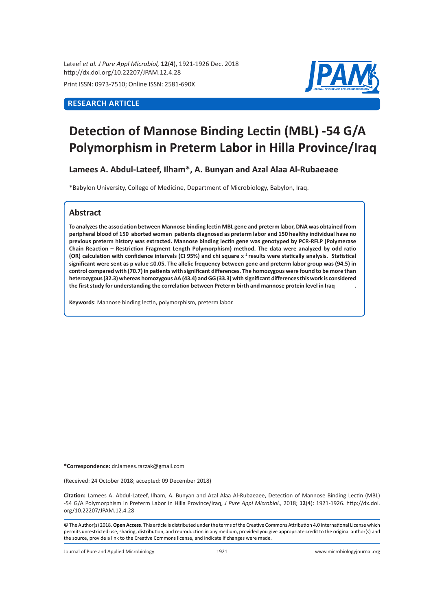Lateef *et al. J Pure Appl Microbiol,* **12**(**4**), 1921-1926 Dec. 2018 http://dx.doi.org/10.22207/JPAM.12.4.28

Print ISSN: 0973-7510; Online ISSN: 2581-690X

# **RESEARCH ARTICLE**



# **Detection of Mannose Binding Lectin (MBL) -54 G/A Polymorphism in Preterm Labor in Hilla Province/Iraq**

**Lamees A. Abdul-Lateef, Ilham\*, A. Bunyan and Azal Alaa Al-Rubaeaee**

\*Babylon University, College of Medicine, Department of Microbiology, Babylon, Iraq.

## **Abstract**

**To analyzes the association between Mannose binding lectin MBL gene and preterm labor, DNA was obtained from peripheral blood of 150 aborted women patients diagnosed as preterm labor and 150 healthy individual have no previous preterm history was extracted. Mannose binding lectin gene was genotyped by PCR-RFLP (Polymerase Chain Reaction – Restriction Fragment Length Polymorphism) method. The data were analyzed by odd ratio (OR) calculation with confidence intervals (CI 95%) and chi square x <sup>2</sup>results were statically analysis. Statistical significant were sent as p value** ≤**0.05. The allelic frequency between gene and preterm labor group was (94.5) in control compared with (70.7) in patients with significant differences. The homozygous were found to be more than heterozygous (32.3) whereas homozygous AA (43.4) and GG (33.3) with significant differences this work is considered the first study for understanding the correlation between Preterm birth and mannose protein level in Iraq .** 

**Keywords**: Mannose binding lectin, polymorphism, preterm labor.

**\*Correspondence:** dr.lamees.razzak@gmail.com

(Received: 24 October 2018; accepted: 09 December 2018)

**Citation:** Lamees A. Abdul-Lateef, Ilham, A. Bunyan and Azal Alaa Al-Rubaeaee, Detection of Mannose Binding Lectin (MBL) -54 G/A Polymorphism in Preterm Labor in Hilla Province/Iraq, *J Pure Appl Microbiol.,* 2018; **12**(**4**): 1921-1926. http://dx.doi. org/10.22207/JPAM.12.4.28

© The Author(s) 2018. **Open Access**. This article is distributed under the terms of the Creative Commons Attribution 4.0 International License which permits unrestricted use, sharing, distribution, and reproduction in any medium, provided you give appropriate credit to the original author(s) and the source, provide a link to the Creative Commons license, and indicate if changes were made.

Journal of Pure and Applied Microbiology 1921 www.microbiologyjournal.org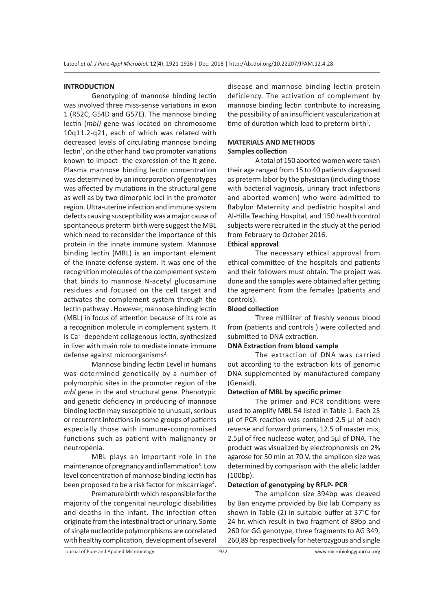#### **INTRODUCTION**

Genotyping of mannose binding lectin was involved three miss-sense variations in exon 1 (R52C, G54D and G57E). The mannose binding lectin (*mbl)* gene was located on chromosome 10q11.2-q21, each of which was related with decreased levels of circulating mannose binding lectin<sup>1</sup>, on the other hand two promoter variations known to impact the expression of the it gene. Plasma mannose binding lectin concentration was determined by an incorporation of genotypes was affected by mutations in the structural gene as well as by two dimorphic loci in the promoter region. Ultra-uterine infection and immune system defects causing susceptibility was a major cause of spontaneous preterm birth were suggest the MBL which need to reconsider the importance of this protein in the innate immune system. Mannose binding lectin (MBL) is an important element of the innate defense system. It was one of the recognition molecules of the complement system that binds to mannose N-acetyl glucosamine residues and focused on the cell target and activates the complement system through the lectin pathway . However, mannose binding lectin (MBL) in focus of attention because of its role as a recognition molecule in complement system. It is Ca<sup>+</sup> -dependent collagenous lectin, synthesized in liver with main role to mediate innate immune defense against microorganisms<sup>2</sup>.

Mannose binding lectin Level in humans was determined genetically by a number of polymorphic sites in the promoter region of the *mbl* gene in the and structural gene. Phenotypic and genetic deficiency in producing of mannose binding lectin may susceptible to unusual, serious or recurrent infections in some groups of patients especially those with immune-compromised functions such as patient with malignancy or neutropenia.

MBL plays an important role in the maintenance of pregnancy and inflammation<sup>3</sup>. Low level concentration of mannose binding lectin has been proposed to be a risk factor for miscarriage<sup>4</sup>.

Premature birth which responsible for the majority of the congenital neurologic disabilities and deaths in the infant. The infection often originate from the intestinal tract or urinary. Some of single nucleotide polymorphisms are correlated with healthy complication, development of several disease and mannose binding lectin protein deficiency. The activation of complement by mannose binding lectin contribute to increasing the possibility of an insufficient vascularization at time of duration which lead to preterm birth<sup>5</sup>.

#### **MATERIALS AND METHODS Samples collection**

A total of 150 aborted women were taken their age ranged from 15 to 40 patients diagnosed as preterm labor by the physician (including those with bacterial vaginosis, urinary tract infections and aborted women) who were admitted to Babylon Maternity and pediatric hospital and Al-Hilla Teaching Hospital, and 150 health control subjects were recruited in the study at the period from February to October 2016.

#### **Ethical approval**

The necessary ethical approval from ethical committee of the hospitals and patients and their followers must obtain. The project was done and the samples were obtained after getting the agreement from the females (patients and controls).

#### **Blood collection**

Three milliliter of freshly venous blood from (patients and controls ) were collected and submitted to DNA extraction.

#### **DNA Extraction from blood sample**

The extraction of DNA was carried out according to the extraction kits of genomic DNA supplemented by manufactured company (Genaid).

#### **Detection of MBL by specific primer**

The primer and PCR conditions were used to amplify MBL 54 listed in Table 1. Each 25 µl of PCR reaction was contained 2.5 µl of each reverse and forward primers, 12.5 of master mix, 2.5µl of free nuclease water, and 5µl of DNA. The product was visualized by electrophoresis on 2% agarose for 50 min at 70 V. the amplicon size was determined by comparison with the allelic ladder (100bp).

#### **Detection of genotyping by RFLP- PCR**

The amplicon size 394bp was cleaved by Ban enzyme provided by Bio lab Company as shown in Table (2) in suitable buffer at 37°C for 24 hr. which result in two fragment of 89bp and 260 for GG genotype, three fragments to AG 349, 260,89 bp respectively for heterozygous and single

Journal of Pure and Applied Microbiology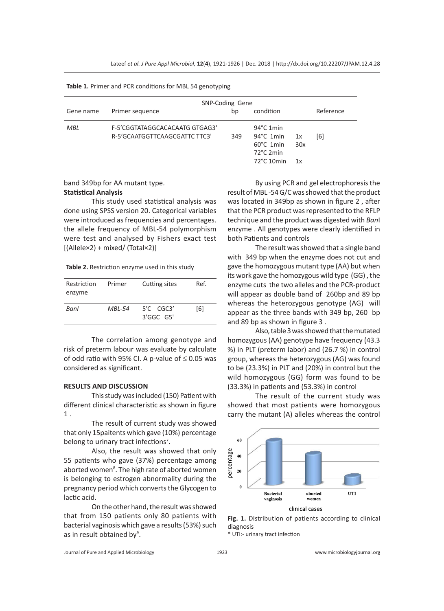|           | SNP-Coding Gene                                                 |    |                                                                                                                   |  |           |  |  |
|-----------|-----------------------------------------------------------------|----|-------------------------------------------------------------------------------------------------------------------|--|-----------|--|--|
| Gene name | Primer sequence                                                 | bp | condition                                                                                                         |  | Reference |  |  |
| MBL       | F-5'CGGTATAGGCACACAATG GTGAG3'<br>R-5'GCAATGGTTCAAGCGATTC TTC3' |    | $94^{\circ}$ C 1 min<br>$94^{\circ}$ C 1min<br>1x<br>$60^{\circ}$ C 1 min<br>30x<br>72°C 2min<br>72°C 10min<br>1x |  | [6]       |  |  |

**Table 1.** Primer and PCR conditions for MBL 54 genotyping

#### band 349bp for AA mutant type. **Statistical Analysis**

This study used statistical analysis was done using SPSS version 20. Categorical variables were introduced as frequencies and percentages. the allele frequency of MBL-54 polymorphism were test and analysed by Fishers exact test  $[(\text{Allelex2}) + \text{mixed}/(\text{Total} \times 2)]$ 

**Table 2.** Restriction enzyme used in this study

| Restriction<br>enzyme | Primer | Cutting sites                        | Ref. |
|-----------------------|--------|--------------------------------------|------|
| Banl                  | MBL-54 | $5^{\prime}$ C CGC3'<br>$3'$ GGC G5' | [6]  |

The correlation among genotype and risk of preterm labour was evaluate by calculate of odd ratio with 95% CI. A p-value of  $\leq$  0.05 was considered as significant.

#### **RESULTS AND DISCUSSION**

This study was included (150) Patient with different clinical characteristic as shown in figure 1 .

The result of current study was showed that only 15paitents which gave (10%) percentage belong to urinary tract infections<sup>7</sup>.

Also, the result was showed that only 55 patients who gave (37%) percentage among aborted women<sup>8</sup>. The high rate of aborted women is belonging to estrogen abnormality during the pregnancy period which converts the Glycogen to lactic acid.

On the other hand, the result was showed that from 150 patients only 80 patients with bacterial vaginosis which gave a results (53%) such as in result obtained by<sup>9</sup>.

By using PCR and gel electrophoresis the result of MBL -54 G/C was showed that the product was located in 349bp as shown in figure 2 , after that the PCR product was represented to the RFLP technique and the product was digested with *Ban*I enzyme . All genotypes were clearly identified in both Patients and controls

The result was showed that a single band with 349 bp when the enzyme does not cut and gave the homozygous mutant type (AA) but when its work gave the homozygous wild type (GG) , the enzyme cuts the two alleles and the PCR-product will appear as double band of 260bp and 89 bp whereas the heterozygous genotype (AG) will appear as the three bands with 349 bp, 260 bp and 89 bp as shown in figure 3 .

Also, table 3 was showed that the mutated homozygous (AA) genotype have frequency (43.3 %) in PLT (preterm labor) and (26.7 %) in control group, whereas the heterozygous (AG) was found to be (23.3%) in PLT and (20%) in control but the wild homozygous (GG) form was found to be (33.3%) in patients and (53.3%) in control

The result of the current study was showed that most patients were homozygous carry the mutant (A) alleles whereas the control





\* UTI:- urinary tract infection

Journal of Pure and Applied Microbiology 1923 www.microbiologyjournal.org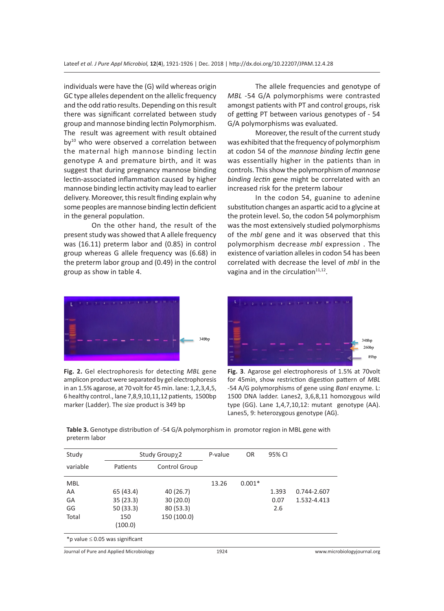individuals were have the (G) wild whereas origin GC type alleles dependent on the allelic frequency and the odd ratio results. Depending on this result there was significant correlated between study group and mannose binding lectin Polymorphism. The result was agreement with result obtained  $by<sup>10</sup>$  who were observed a correlation between the maternal high mannose binding lectin genotype A and premature birth, and it was suggest that during pregnancy mannose binding lectin-associated inflammation caused by higher mannose binding lectin activity may lead to earlier delivery. Moreover, this result finding explain why some peoples are mannose binding lectin deficient in the general population.

On the other hand, the result of the present study was showed that A allele frequency was (16.11) preterm labor and (0.85) in control group whereas G allele frequency was (6.68) in the preterm labor group and (0.49) in the control group as show in table 4.

The allele frequencies and genotype of *MBL* -54 G/A polymorphisms were contrasted amongst patients with PT and control groups, risk of getting PT between various genotypes of - 54 G/A polymorphisms was evaluated.

Moreover, the result of the current study was exhibited that the frequency of polymorphism at codon 54 of the *mannose binding lectin* gene was essentially higher in the patients than in controls. This show the polymorphism of *mannose binding lectin* gene might be correlated with an increased risk for the preterm labour

In the codon 54, guanine to adenine substitution changes an aspartic acid to a glycine at the protein level. So, the codon 54 polymorphism was the most extensively studied polymorphisms of the *mbl* gene and it was observed that this polymorphism decrease *mbl* expression . The existence of variation alleles in codon 54 has been correlated with decrease the level of *mbl* in the vagina and in the circulation $11,12$ .



**Fig. 2.** Gel electrophoresis for detecting *MBL* gene amplicon product were separated by gel electrophoresis in an 1.5% agarose, at 70 volt for 45 min. lane: 1,2,3,4,5, 6 healthy control., lane 7,8,9,10,11,12 patients, 1500bp marker (Ladder). The size product is 349 bp



**Fig. 3**. Agarose gel electrophoresis of 1.5% at 70volt for 45min, show restriction digestion pattern of *MBL*  -54 A/G polymorphisms of gene using *BanI* enzyme. L: 1500 DNA ladder. Lanes2, 3,6,8,11 homozygous wild type (GG). Lane 1,4,7,10,12: mutant genotype (AA). Lanes5, 9: heterozygous genotype (AG).

**Table 3.** Genotype distribution of -54 G/A polymorphism in promotor region in MBL gene with preterm labor

| Study                                | Study Groupχ2 |               | P-value | OR.      | 95% CI |             |
|--------------------------------------|---------------|---------------|---------|----------|--------|-------------|
| variable                             | Patients      | Control Group |         |          |        |             |
| <b>MBL</b>                           |               |               | 13.26   | $0.001*$ |        |             |
| AA                                   | 65 (43.4)     | 40 (26.7)     |         |          | 1.393  | 0.744-2.607 |
| GA                                   | 35(23.3)      | 30(20.0)      |         |          | 0.07   | 1.532-4.413 |
| GG                                   | 50 (33.3)     | 80(53.3)      |         |          | 2.6    |             |
| Total                                | 150           | 150 (100.0)   |         |          |        |             |
|                                      | (100.0)       |               |         |          |        |             |
| *p value $\leq$ 0.05 was significant |               |               |         |          |        |             |
|                                      |               |               |         |          |        | .           |

Journal of Pure and Applied Microbiology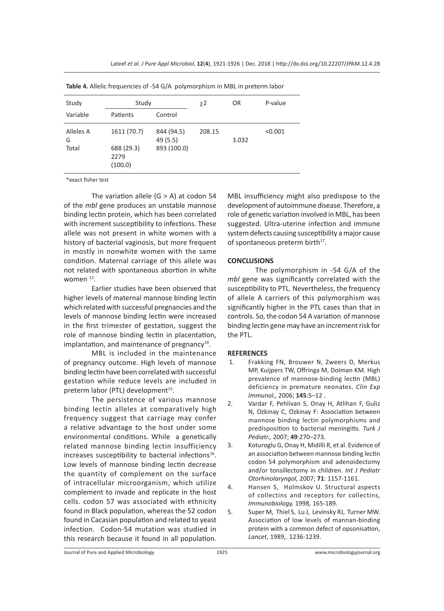| Study                   | Study                                        |                                       | $\chi$ <sub>2</sub> | 0R    | P-value |
|-------------------------|----------------------------------------------|---------------------------------------|---------------------|-------|---------|
| Variable                | Patients                                     | Control                               |                     |       |         |
| Alleles A<br>G<br>Total | 1611 (70.7)<br>688 (29.3)<br>2279<br>(100.0) | 844 (94.5)<br>49 (5.5)<br>893 (100.0) | 208.15              | 3.032 | < 0.001 |

**Table 4.** Allelic frequencies of -54 G/A polymorphism in MBL in preterm labor

\*exact fisher test

The variation allele  $(G > A)$  at codon 54 of the *mbl* gene produces an unstable mannose binding lectin protein, which has been correlated with increment susceptibility to infections. These allele was not present in white women with a history of bacterial vaginosis, but more frequent in mostly in nonwhite women with the same condition. Maternal carriage of this allele was not related with spontaneous abortion in white women<sup>13</sup>.

Earlier studies have been observed that higher levels of maternal mannose binding lectin which related with successful pregnancies and the levels of mannose binding lectin were increased in the first trimester of gestation, suggest the role of mannose binding lectin in placentation, implantation, and maintenance of pregnancy $14$ .

MBL is included in the maintenance of pregnancy outcome. High levels of mannose binding lectin have been correlated with successful gestation while reduce levels are included in preterm labor (PTL) development<sup>15</sup>.

The persistence of various mannose binding lectin alleles at comparatively high frequency suggest that carriage may confer a relative advantage to the host under some environmental conditions. While a genetically related mannose binding lectin insufficiency increases susceptibility to bacterial infections $16$ . Low levels of mannose binding lectin decrease the quantity of complement on the surface of intracellular microorganism, which utilize complement to invade and replicate in the host cells. codon 57 was associated with ethnicity found in Black population, whereas the 52 codon found in Cacasian population and related to yeast infection. Codon-54 mutation was studied in this research because it found in all population. MBL insufficiency might also predispose to the development of autoimmune disease. Therefore, a role of genetic variation involved in MBL, has been suggested. Ultra-uterine infection and immune system defects causing susceptibility a major cause of spontaneous preterm birth<sup>17</sup>.

### **CONCLUSIONS**

The polymorphism in -54 G/A of the *mbl* gene was significantly correlated with the susceptibility to PTL. Nevertheless, the frequency of allele A carriers of this polymorphism was significantly higher in the PTL cases than that in controls. So, the codon 54 A variation of mannose binding lectin gene may have an increment risk for the PTL.

#### **REFERENCES**

- 1. Frakking FN, Brouwer N, Zweers D, Merkus MP, Kuijpers TW, Offringa M, Dolman KM. High prevalence of mannose-binding lectin (MBL) deficiency in premature neonates. *Clin Exp Immunol.,* 2006; **145**:5–12 .
- 2. Vardar F, Pehlivan S, Onay H, Atlihan F, Guliz N, Ozkinay C, Ozkinay F: Association between mannose binding lectin polymorphisms and predisposition to bacterial meningitis. *Turk J Pediatr.,* 2007; **49**:270–273.
- 3. Koturoglu G, Onay H, Midilli R, et al. Evidence of an association between mannose binding lectin codon 54 polymorphism and adenoidectomy and/or tonsillectomy in children. *Int J Pediatr Otorhinolaryngol,* 2007; **71**: 1157-1161.
- 4. Hansen S, Holmskov U. Structural aspects of collectins and receptors for collectins, *Immunobiology,* 1998, 165-189.
- 5. Super M, Thiel S, Lu J, Levinsky RJ, Turner MW. Association of low levels of mannan-binding protein with a common defect of opsonisation, *Lancet*, 1989,. 1236-1239.